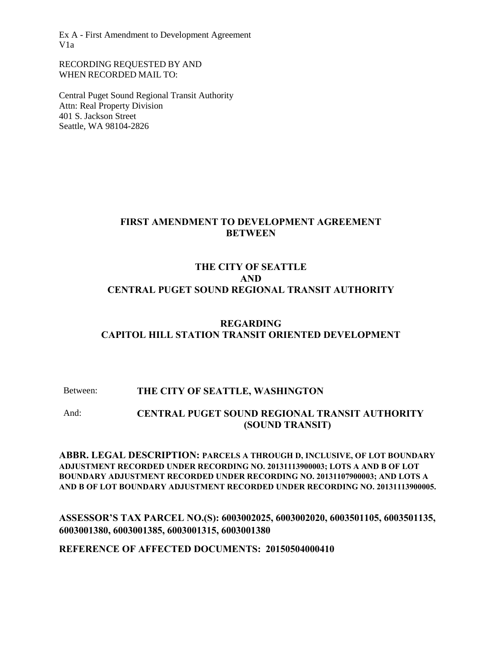RECORDING REQUESTED BY AND WHEN RECORDED MAIL TO:

Central Puget Sound Regional Transit Authority Attn: Real Property Division 401 S. Jackson Street Seattle, WA 98104-2826

# **FIRST AMENDMENT TO DEVELOPMENT AGREEMENT BETWEEN**

# **THE CITY OF SEATTLE AND CENTRAL PUGET SOUND REGIONAL TRANSIT AUTHORITY**

# **REGARDING CAPITOL HILL STATION TRANSIT ORIENTED DEVELOPMENT**

### Between: **THE CITY OF SEATTLE, WASHINGTON**

And: **CENTRAL PUGET SOUND REGIONAL TRANSIT AUTHORITY (SOUND TRANSIT)**

**ABBR. LEGAL DESCRIPTION: PARCELS A THROUGH D, INCLUSIVE, OF LOT BOUNDARY ADJUSTMENT RECORDED UNDER RECORDING NO. 20131113900003; LOTS A AND B OF LOT BOUNDARY ADJUSTMENT RECORDED UNDER RECORDING NO. 20131107900003; AND LOTS A AND B OF LOT BOUNDARY ADJUSTMENT RECORDED UNDER RECORDING NO. 20131113900005.**

**ASSESSOR'S TAX PARCEL NO.(S): 6003002025, 6003002020, 6003501105, 6003501135, 6003001380, 6003001385, 6003001315, 6003001380**

**REFERENCE OF AFFECTED DOCUMENTS: 20150504000410**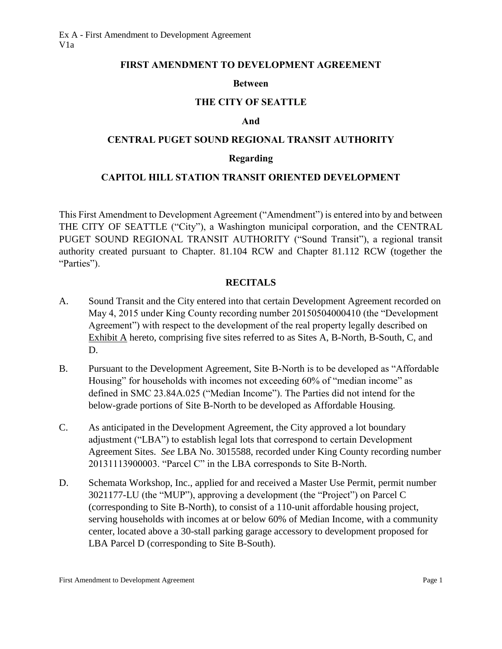#### **FIRST AMENDMENT TO DEVELOPMENT AGREEMENT**

### **Between**

### **THE CITY OF SEATTLE**

#### **And**

### **CENTRAL PUGET SOUND REGIONAL TRANSIT AUTHORITY**

#### **Regarding**

### **CAPITOL HILL STATION TRANSIT ORIENTED DEVELOPMENT**

This First Amendment to Development Agreement ("Amendment") is entered into by and between THE CITY OF SEATTLE ("City"), a Washington municipal corporation, and the CENTRAL PUGET SOUND REGIONAL TRANSIT AUTHORITY ("Sound Transit"), a regional transit authority created pursuant to Chapter. 81.104 RCW and Chapter 81.112 RCW (together the "Parties").

#### **RECITALS**

- A. Sound Transit and the City entered into that certain Development Agreement recorded on May 4, 2015 under King County recording number 20150504000410 (the "Development Agreement") with respect to the development of the real property legally described on Exhibit  $\overline{A}$  hereto, comprising five sites referred to as Sites A, B-North, B-South, C, and D.
- B. Pursuant to the Development Agreement, Site B-North is to be developed as "Affordable Housing" for households with incomes not exceeding 60% of "median income" as defined in SMC 23.84A.025 ("Median Income"). The Parties did not intend for the below-grade portions of Site B-North to be developed as Affordable Housing.
- C. As anticipated in the Development Agreement, the City approved a lot boundary adjustment ("LBA") to establish legal lots that correspond to certain Development Agreement Sites. *See* LBA No. 3015588, recorded under King County recording number 20131113900003. "Parcel C" in the LBA corresponds to Site B-North.
- D. Schemata Workshop, Inc., applied for and received a Master Use Permit, permit number 3021177-LU (the "MUP"), approving a development (the "Project") on Parcel C (corresponding to Site B-North), to consist of a 110-unit affordable housing project, serving households with incomes at or below 60% of Median Income, with a community center, located above a 30-stall parking garage accessory to development proposed for LBA Parcel D (corresponding to Site B-South).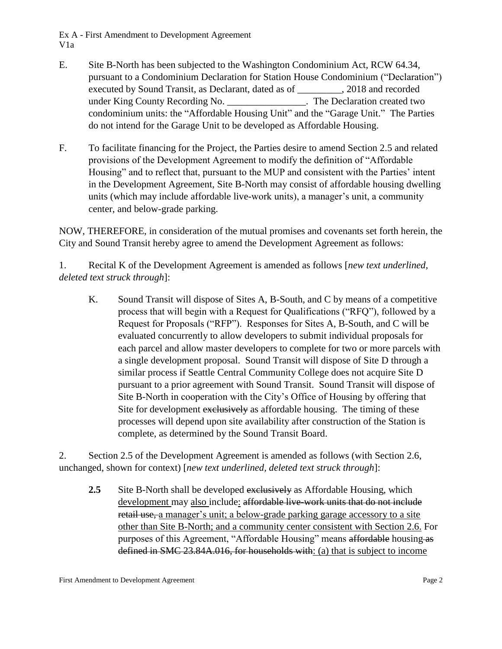- E. Site B-North has been subjected to the Washington Condominium Act, RCW 64.34, pursuant to a Condominium Declaration for Station House Condominium ("Declaration") executed by Sound Transit, as Declarant, dated as of \_\_\_\_\_\_\_\_\_, 2018 and recorded under King County Recording No. \_\_\_\_\_\_\_\_\_\_\_\_\_\_\_\_. The Declaration created two condominium units: the "Affordable Housing Unit" and the "Garage Unit." The Parties do not intend for the Garage Unit to be developed as Affordable Housing.
- F. To facilitate financing for the Project, the Parties desire to amend Section 2.5 and related provisions of the Development Agreement to modify the definition of "Affordable Housing" and to reflect that, pursuant to the MUP and consistent with the Parties' intent in the Development Agreement, Site B-North may consist of affordable housing dwelling units (which may include affordable live-work units), a manager's unit, a community center, and below-grade parking.

NOW, THEREFORE, in consideration of the mutual promises and covenants set forth herein, the City and Sound Transit hereby agree to amend the Development Agreement as follows:

1. Recital K of the Development Agreement is amended as follows [*new text underlined, deleted text struck through*]:

K. Sound Transit will dispose of Sites A, B-South, and C by means of a competitive process that will begin with a Request for Qualifications ("RFQ"), followed by a Request for Proposals ("RFP"). Responses for Sites A, B-South, and C will be evaluated concurrently to allow developers to submit individual proposals for each parcel and allow master developers to complete for two or more parcels with a single development proposal. Sound Transit will dispose of Site D through a similar process if Seattle Central Community College does not acquire Site D pursuant to a prior agreement with Sound Transit. Sound Transit will dispose of Site B-North in cooperation with the City's Office of Housing by offering that Site for development exclusively as affordable housing. The timing of these processes will depend upon site availability after construction of the Station is complete, as determined by the Sound Transit Board.

2. Section 2.5 of the Development Agreement is amended as follows (with Section 2.6, unchanged, shown for context) [*new text underlined, deleted text struck through*]:

**2.5** Site B-North shall be developed exclusively as Affordable Housing, which development may also include: affordable live-work units that do not include retail use, a manager's unit; a below-grade parking garage accessory to a site other than Site B-North; and a community center consistent with Section 2.6. For purposes of this Agreement, "Affordable Housing" means affordable housing as defined in SMC 23.84A.016, for households with: (a) that is subject to income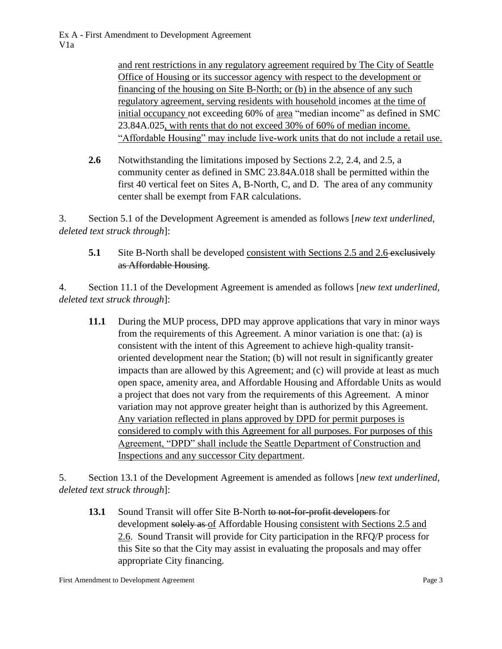and rent restrictions in any regulatory agreement required by The City of Seattle Office of Housing or its successor agency with respect to the development or financing of the housing on Site B-North; or (b) in the absence of any such regulatory agreement, serving residents with household incomes at the time of initial occupancy not exceeding 60% of area "median income" as defined in SMC 23.84A.025, with rents that do not exceed 30% of 60% of median income. "Affordable Housing" may include live-work units that do not include a retail use.

**2.6** Notwithstanding the limitations imposed by Sections 2.2, 2.4, and 2.5, a community center as defined in SMC 23.84A.018 shall be permitted within the first 40 vertical feet on Sites A, B-North, C, and D. The area of any community center shall be exempt from FAR calculations.

3. Section 5.1 of the Development Agreement is amended as follows [*new text underlined, deleted text struck through*]:

# **5.1** Site B-North shall be developed consistent with Sections 2.5 and 2.6-exclusively as Affordable Housing.

4. Section 11.1 of the Development Agreement is amended as follows [*new text underlined, deleted text struck through*]:

**11.1** During the MUP process, DPD may approve applications that vary in minor ways from the requirements of this Agreement. A minor variation is one that: (a) is consistent with the intent of this Agreement to achieve high-quality transitoriented development near the Station; (b) will not result in significantly greater impacts than are allowed by this Agreement; and (c) will provide at least as much open space, amenity area, and Affordable Housing and Affordable Units as would a project that does not vary from the requirements of this Agreement. A minor variation may not approve greater height than is authorized by this Agreement. Any variation reflected in plans approved by DPD for permit purposes is considered to comply with this Agreement for all purposes. For purposes of this Agreement, "DPD" shall include the Seattle Department of Construction and Inspections and any successor City department.

5. Section 13.1 of the Development Agreement is amended as follows [*new text underlined, deleted text struck through*]:

**13.1** Sound Transit will offer Site B-North to not-for-profit developers for development solely as of Affordable Housing consistent with Sections 2.5 and 2.6. Sound Transit will provide for City participation in the RFQ/P process for this Site so that the City may assist in evaluating the proposals and may offer appropriate City financing.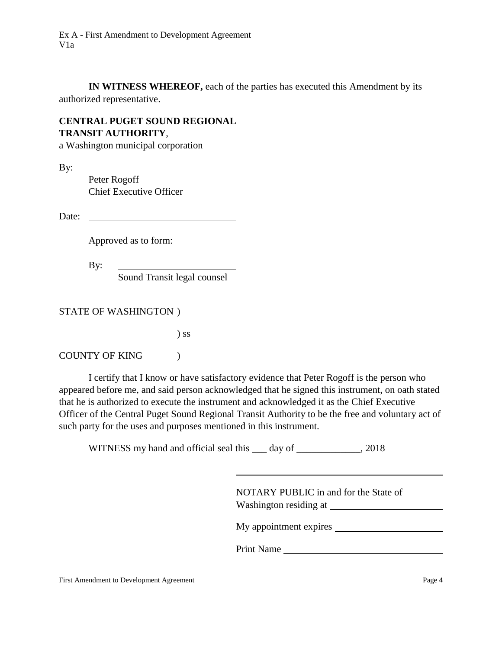**IN WITNESS WHEREOF,** each of the parties has executed this Amendment by its authorized representative.

# **CENTRAL PUGET SOUND REGIONAL TRANSIT AUTHORITY**,

a Washington municipal corporation

By:

Peter Rogoff Chief Executive Officer

Date:

Approved as to form:

By:

Sound Transit legal counsel

STATE OF WASHINGTON )

) ss

COUNTY OF KING (

I certify that I know or have satisfactory evidence that Peter Rogoff is the person who appeared before me, and said person acknowledged that he signed this instrument, on oath stated that he is authorized to execute the instrument and acknowledged it as the Chief Executive Officer of the Central Puget Sound Regional Transit Authority to be the free and voluntary act of such party for the uses and purposes mentioned in this instrument.

WITNESS my hand and official seal this 100 day of 2018, 2018

| NOTARY PUBLIC in and for the State of<br>Washington residing at |
|-----------------------------------------------------------------|
| My appointment expires                                          |

Print Name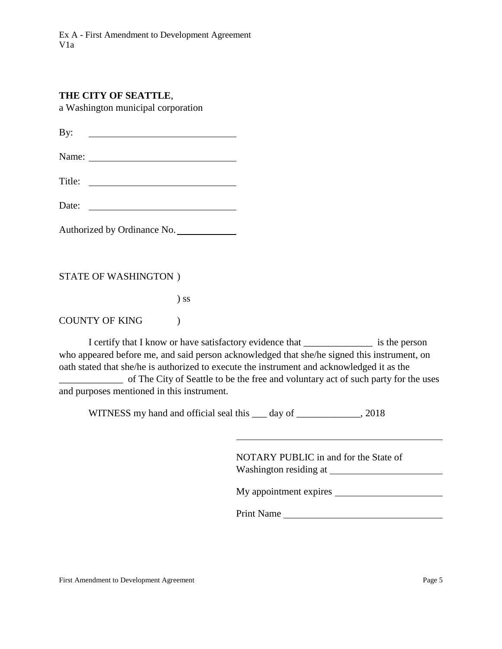### **THE CITY OF SEATTLE**,

a Washington municipal corporation

By: <u> 1990 - Johann Barbara, martin a</u>

Name:

Title:

Date:

Authorized by Ordinance No.

### STATE OF WASHINGTON )

) ss

### COUNTY OF KING (

I certify that I know or have satisfactory evidence that \_\_\_\_\_\_\_\_\_\_\_\_\_\_ is the person who appeared before me, and said person acknowledged that she/he signed this instrument, on oath stated that she/he is authorized to execute the instrument and acknowledged it as the

of The City of Seattle to be the free and voluntary act of such party for the uses and purposes mentioned in this instrument.

WITNESS my hand and official seal this 100 day of 2018, 2018

NOTARY PUBLIC in and for the State of Washington residing at

My appointment expires

Print Name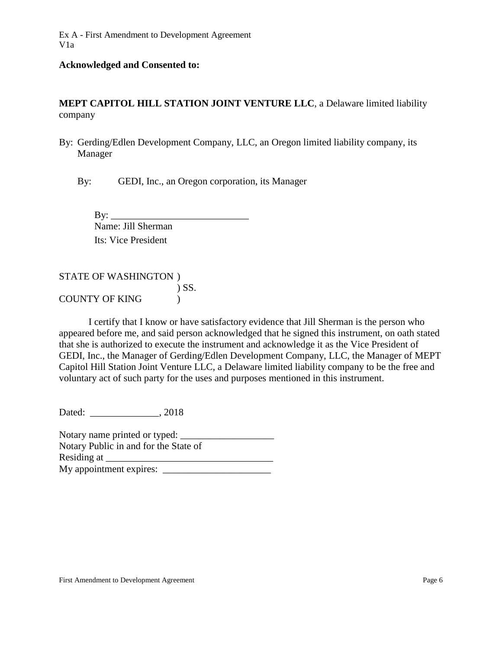#### **Acknowledged and Consented to:**

**MEPT CAPITOL HILL STATION JOINT VENTURE LLC**, a Delaware limited liability company

By: Gerding/Edlen Development Company, LLC, an Oregon limited liability company, its Manager

By: GEDI, Inc., an Oregon corporation, its Manager

 $\mathbf{B} \mathbf{y}$ : Name: Jill Sherman Its: Vice President

STATE OF WASHINGTON ) ) SS. COUNTY OF KING )

I certify that I know or have satisfactory evidence that Jill Sherman is the person who appeared before me, and said person acknowledged that he signed this instrument, on oath stated that she is authorized to execute the instrument and acknowledge it as the Vice President of GEDI, Inc., the Manager of Gerding/Edlen Development Company, LLC, the Manager of MEPT Capitol Hill Station Joint Venture LLC, a Delaware limited liability company to be the free and voluntary act of such party for the uses and purposes mentioned in this instrument.

Dated:  $0.2018$ 

Notary name printed or typed: \_\_\_\_\_\_\_\_\_\_\_\_\_\_\_\_\_\_\_ Notary Public in and for the State of Residing at My appointment expires: \_\_\_\_\_\_\_\_\_\_\_\_\_\_\_\_\_\_\_\_\_\_